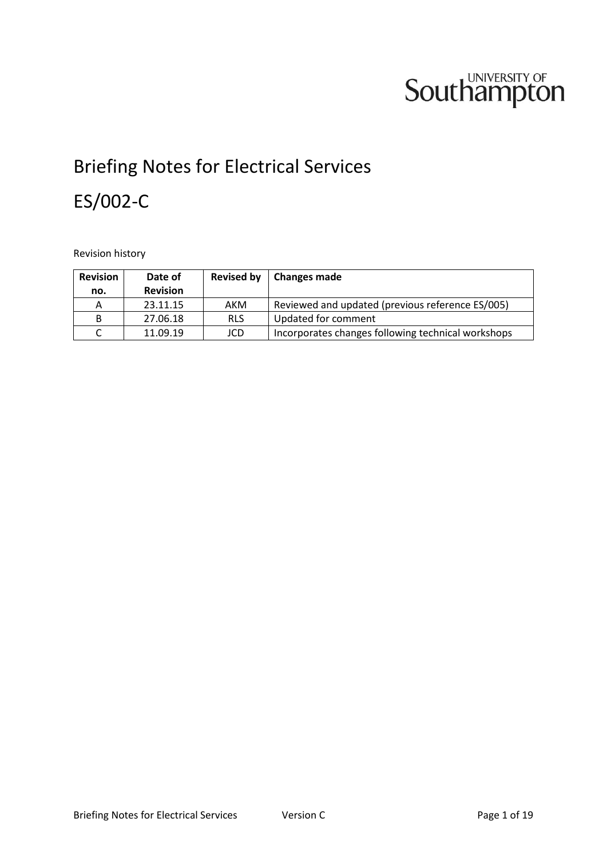# **Southampton**

# Briefing Notes for Electrical Services ES/002-C

Revision history

| <b>Revision</b> | Date of         | <b>Revised by</b> | <b>Changes made</b>                                |  |
|-----------------|-----------------|-------------------|----------------------------------------------------|--|
| no.             | <b>Revision</b> |                   |                                                    |  |
| Α               | 23.11.15        | AKM               | Reviewed and updated (previous reference ES/005)   |  |
| B               | 27.06.18        | <b>RLS</b>        | Updated for comment                                |  |
|                 | 11.09.19        | JCD               | Incorporates changes following technical workshops |  |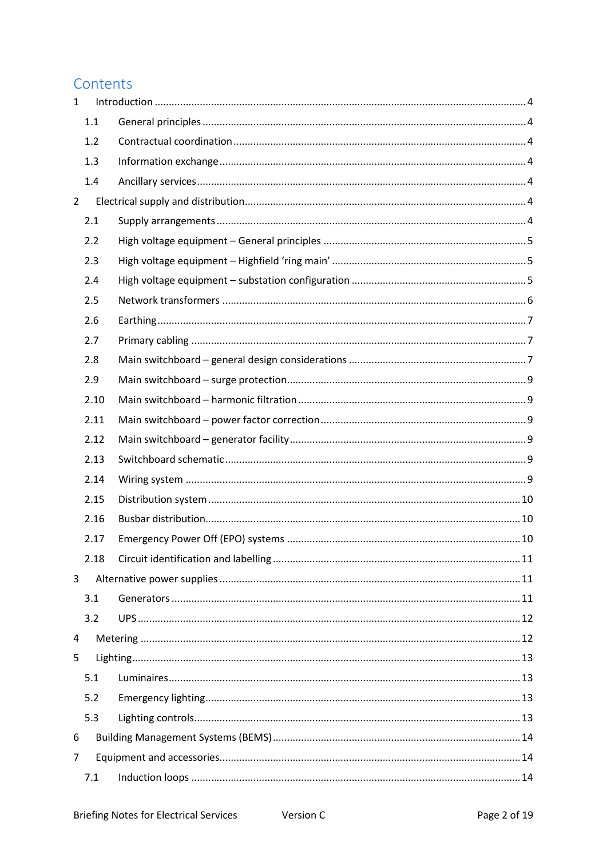# Contents

| $\mathbf{1}$   |      |  |  |  |
|----------------|------|--|--|--|
|                | 1.1  |  |  |  |
|                | 1.2  |  |  |  |
|                | 1.3  |  |  |  |
|                | 1.4  |  |  |  |
| $\overline{2}$ |      |  |  |  |
|                | 2.1  |  |  |  |
|                | 2.2  |  |  |  |
|                | 2.3  |  |  |  |
|                | 2.4  |  |  |  |
|                | 2.5  |  |  |  |
|                | 2.6  |  |  |  |
|                | 2.7  |  |  |  |
|                | 2.8  |  |  |  |
|                | 2.9  |  |  |  |
|                | 2.10 |  |  |  |
|                | 2.11 |  |  |  |
|                | 2.12 |  |  |  |
|                | 2.13 |  |  |  |
|                | 2.14 |  |  |  |
|                | 2.15 |  |  |  |
|                | 2.16 |  |  |  |
|                | 2.17 |  |  |  |
|                | 2.18 |  |  |  |
| 3              |      |  |  |  |
|                | 3.1  |  |  |  |
|                | 3.2  |  |  |  |
| 4              |      |  |  |  |
| 5              |      |  |  |  |
|                | 5.1  |  |  |  |
|                | 5.2  |  |  |  |
|                | 5.3  |  |  |  |
| 6              |      |  |  |  |
| $\overline{7}$ |      |  |  |  |
|                | 7.1  |  |  |  |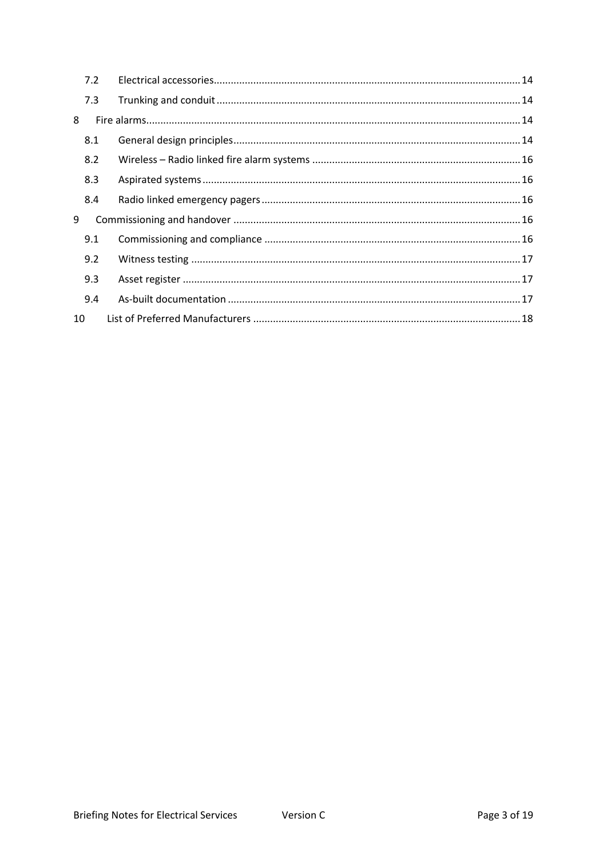|    | 7.2 |  |
|----|-----|--|
|    | 7.3 |  |
| 8  |     |  |
|    | 8.1 |  |
|    | 8.2 |  |
|    | 8.3 |  |
|    | 8.4 |  |
| 9  |     |  |
|    | 9.1 |  |
|    | 9.2 |  |
|    | 9.3 |  |
|    | 9.4 |  |
| 10 |     |  |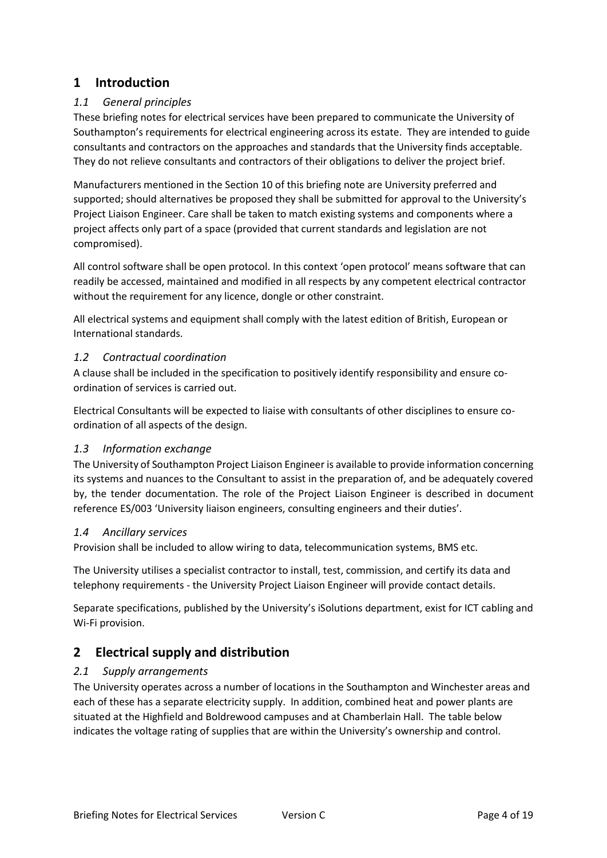## <span id="page-3-0"></span>**1 Introduction**

#### <span id="page-3-1"></span>*1.1 General principles*

These briefing notes for electrical services have been prepared to communicate the University of Southampton's requirements for electrical engineering across its estate. They are intended to guide consultants and contractors on the approaches and standards that the University finds acceptable. They do not relieve consultants and contractors of their obligations to deliver the project brief.

Manufacturers mentioned in the Section 10 of this briefing note are University preferred and supported; should alternatives be proposed they shall be submitted for approval to the University's Project Liaison Engineer. Care shall be taken to match existing systems and components where a project affects only part of a space (provided that current standards and legislation are not compromised).

All control software shall be open protocol. In this context 'open protocol' means software that can readily be accessed, maintained and modified in all respects by any competent electrical contractor without the requirement for any licence, dongle or other constraint.

All electrical systems and equipment shall comply with the latest edition of British, European or International standards.

#### <span id="page-3-2"></span>*1.2 Contractual coordination*

A clause shall be included in the specification to positively identify responsibility and ensure coordination of services is carried out.

Electrical Consultants will be expected to liaise with consultants of other disciplines to ensure coordination of all aspects of the design.

#### <span id="page-3-3"></span>*1.3 Information exchange*

The University of Southampton Project Liaison Engineer is available to provide information concerning its systems and nuances to the Consultant to assist in the preparation of, and be adequately covered by, the tender documentation. The role of the Project Liaison Engineer is described in document reference ES/003 'University liaison engineers, consulting engineers and their duties'.

#### <span id="page-3-4"></span>*1.4 Ancillary services*

Provision shall be included to allow wiring to data, telecommunication systems, BMS etc.

The University utilises a specialist contractor to install, test, commission, and certify its data and telephony requirements - the University Project Liaison Engineer will provide contact details.

Separate specifications, published by the University's iSolutions department, exist for ICT cabling and Wi-Fi provision.

# <span id="page-3-5"></span>**2 Electrical supply and distribution**

#### <span id="page-3-6"></span>*2.1 Supply arrangements*

The University operates across a number of locations in the Southampton and Winchester areas and each of these has a separate electricity supply. In addition, combined heat and power plants are situated at the Highfield and Boldrewood campuses and at Chamberlain Hall. The table below indicates the voltage rating of supplies that are within the University's ownership and control.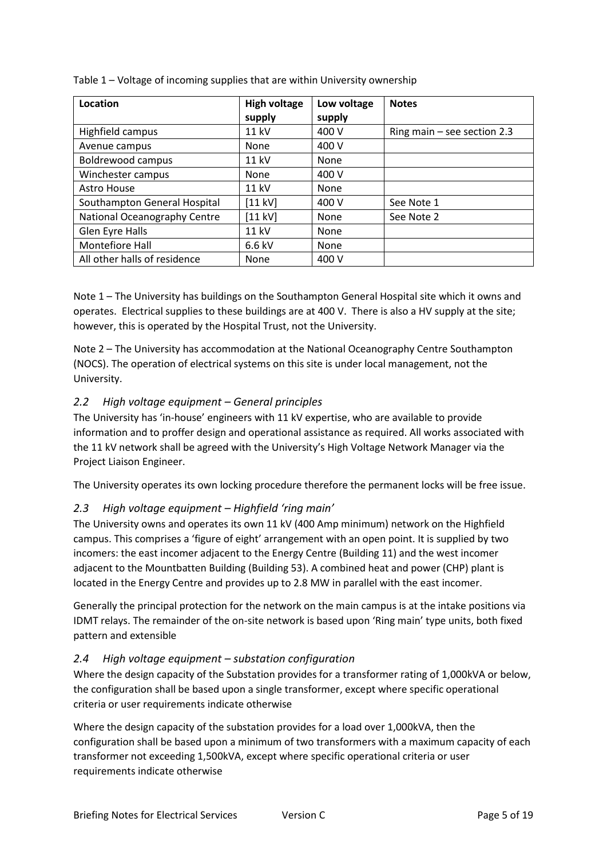| Location                     | <b>High voltage</b> | Low voltage | <b>Notes</b>                  |
|------------------------------|---------------------|-------------|-------------------------------|
|                              | supply              | supply      |                               |
| Highfield campus             | 11 kV               | 400 V       | Ring main $-$ see section 2.3 |
| Avenue campus                | None                | 400 V       |                               |
| <b>Boldrewood campus</b>     | 11 kV               | None        |                               |
| Winchester campus            | <b>None</b>         | 400 V       |                               |
| <b>Astro House</b>           | <b>11 kV</b>        | None        |                               |
| Southampton General Hospital | [11 kV]             | 400 V       | See Note 1                    |
| National Oceanography Centre | [11 kV]             | None        | See Note 2                    |
| Glen Eyre Halls              | 11 kV               | None        |                               |
| Montefiore Hall              | $6.6$ kV            | None        |                               |
| All other halls of residence | None                | 400 V       |                               |

Table 1 – Voltage of incoming supplies that are within University ownership

Note 1 – The University has buildings on the Southampton General Hospital site which it owns and operates. Electrical supplies to these buildings are at 400 V. There is also a HV supply at the site; however, this is operated by the Hospital Trust, not the University.

Note 2 – The University has accommodation at the National Oceanography Centre Southampton (NOCS). The operation of electrical systems on this site is under local management, not the University.

#### <span id="page-4-0"></span>*2.2 High voltage equipment – General principles*

The University has 'in-house' engineers with 11 kV expertise, who are available to provide information and to proffer design and operational assistance as required. All works associated with the 11 kV network shall be agreed with the University's High Voltage Network Manager via the Project Liaison Engineer.

The University operates its own locking procedure therefore the permanent locks will be free issue.

#### <span id="page-4-1"></span>*2.3 High voltage equipment – Highfield 'ring main'*

The University owns and operates its own 11 kV (400 Amp minimum) network on the Highfield campus. This comprises a 'figure of eight' arrangement with an open point. It is supplied by two incomers: the east incomer adjacent to the Energy Centre (Building 11) and the west incomer adjacent to the Mountbatten Building (Building 53). A combined heat and power (CHP) plant is located in the Energy Centre and provides up to 2.8 MW in parallel with the east incomer.

Generally the principal protection for the network on the main campus is at the intake positions via IDMT relays. The remainder of the on-site network is based upon 'Ring main' type units, both fixed pattern and extensible

#### <span id="page-4-2"></span>*2.4 High voltage equipment – substation configuration*

Where the design capacity of the Substation provides for a transformer rating of 1,000kVA or below, the configuration shall be based upon a single transformer, except where specific operational criteria or user requirements indicate otherwise

Where the design capacity of the substation provides for a load over 1,000kVA, then the configuration shall be based upon a minimum of two transformers with a maximum capacity of each transformer not exceeding 1,500kVA, except where specific operational criteria or user requirements indicate otherwise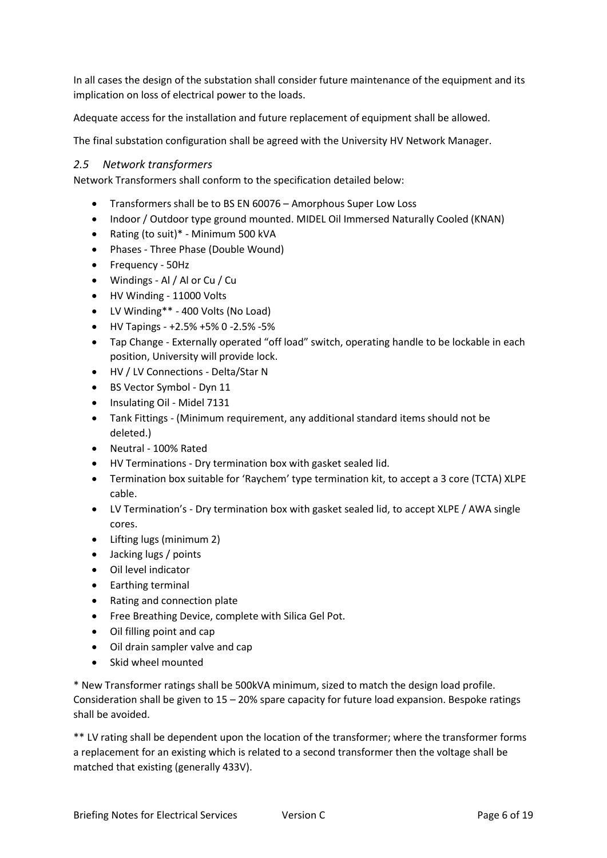In all cases the design of the substation shall consider future maintenance of the equipment and its implication on loss of electrical power to the loads.

Adequate access for the installation and future replacement of equipment shall be allowed.

The final substation configuration shall be agreed with the University HV Network Manager.

#### <span id="page-5-0"></span>*2.5 Network transformers*

Network Transformers shall conform to the specification detailed below:

- Transformers shall be to BS EN 60076 Amorphous Super Low Loss
- Indoor / Outdoor type ground mounted. MIDEL Oil Immersed Naturally Cooled (KNAN)
- Rating (to suit)\* Minimum 500 kVA
- Phases Three Phase (Double Wound)
- Frequency 50Hz
- Windings Al / Al or Cu / Cu
- HV Winding 11000 Volts
- LV Winding\*\* 400 Volts (No Load)
- HV Tapings +2.5% +5% 0 -2.5% -5%
- Tap Change Externally operated "off load" switch, operating handle to be lockable in each position, University will provide lock.
- HV / LV Connections Delta/Star N
- BS Vector Symbol Dyn 11
- Insulating Oil Midel 7131
- Tank Fittings (Minimum requirement, any additional standard items should not be deleted.)
- Neutral 100% Rated
- HV Terminations Dry termination box with gasket sealed lid.
- Termination box suitable for 'Raychem' type termination kit, to accept a 3 core (TCTA) XLPE cable.
- LV Termination's Dry termination box with gasket sealed lid, to accept XLPE / AWA single cores.
- Lifting lugs (minimum 2)
- Jacking lugs / points
- Oil level indicator
- Earthing terminal
- Rating and connection plate
- Free Breathing Device, complete with Silica Gel Pot.
- Oil filling point and cap
- Oil drain sampler valve and cap
- Skid wheel mounted

\* New Transformer ratings shall be 500kVA minimum, sized to match the design load profile. Consideration shall be given to  $15 - 20\%$  spare capacity for future load expansion. Bespoke ratings shall be avoided.

\*\* LV rating shall be dependent upon the location of the transformer; where the transformer forms a replacement for an existing which is related to a second transformer then the voltage shall be matched that existing (generally 433V).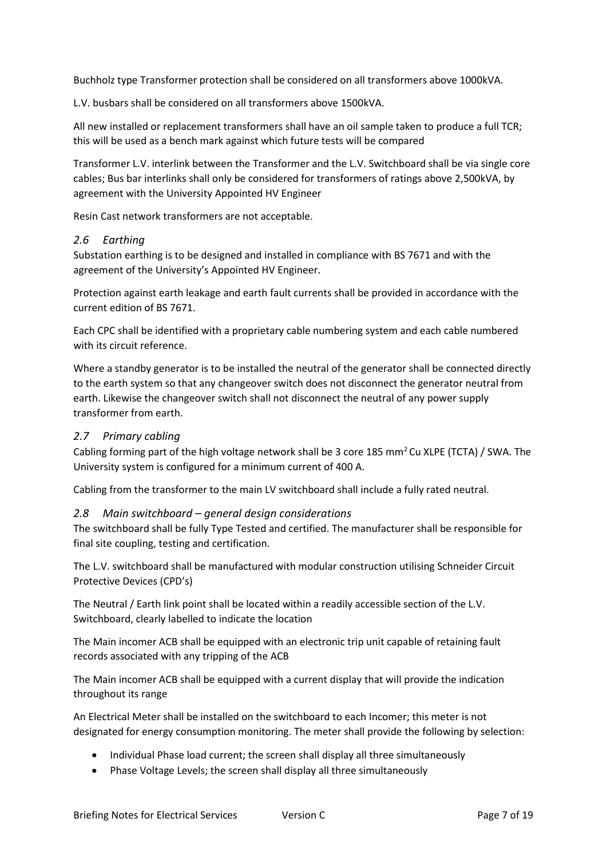Buchholz type Transformer protection shall be considered on all transformers above 1000kVA.

L.V. busbars shall be considered on all transformers above 1500kVA.

All new installed or replacement transformers shall have an oil sample taken to produce a full TCR; this will be used as a bench mark against which future tests will be compared

Transformer L.V. interlink between the Transformer and the L.V. Switchboard shall be via single core cables; Bus bar interlinks shall only be considered for transformers of ratings above 2,500kVA, by agreement with the University Appointed HV Engineer

Resin Cast network transformers are not acceptable.

#### <span id="page-6-0"></span>*2.6 Earthing*

Substation earthing is to be designed and installed in compliance with BS 7671 and with the agreement of the University's Appointed HV Engineer.

Protection against earth leakage and earth fault currents shall be provided in accordance with the current edition of BS 7671.

Each CPC shall be identified with a proprietary cable numbering system and each cable numbered with its circuit reference.

Where a standby generator is to be installed the neutral of the generator shall be connected directly to the earth system so that any changeover switch does not disconnect the generator neutral from earth. Likewise the changeover switch shall not disconnect the neutral of any power supply transformer from earth.

#### <span id="page-6-1"></span>*2.7 Primary cabling*

Cabling forming part of the high voltage network shall be 3 core 185 mm<sup>2</sup>Cu XLPE (TCTA) / SWA. The University system is configured for a minimum current of 400 A.

Cabling from the transformer to the main LV switchboard shall include a fully rated neutral.

#### <span id="page-6-2"></span>*2.8 Main switchboard – general design considerations*

The switchboard shall be fully Type Tested and certified. The manufacturer shall be responsible for final site coupling, testing and certification.

The L.V. switchboard shall be manufactured with modular construction utilising Schneider Circuit Protective Devices (CPD's)

The Neutral / Earth link point shall be located within a readily accessible section of the L.V. Switchboard, clearly labelled to indicate the location

The Main incomer ACB shall be equipped with an electronic trip unit capable of retaining fault records associated with any tripping of the ACB

The Main incomer ACB shall be equipped with a current display that will provide the indication throughout its range

An Electrical Meter shall be installed on the switchboard to each Incomer; this meter is not designated for energy consumption monitoring. The meter shall provide the following by selection:

- Individual Phase load current; the screen shall display all three simultaneously
- Phase Voltage Levels; the screen shall display all three simultaneously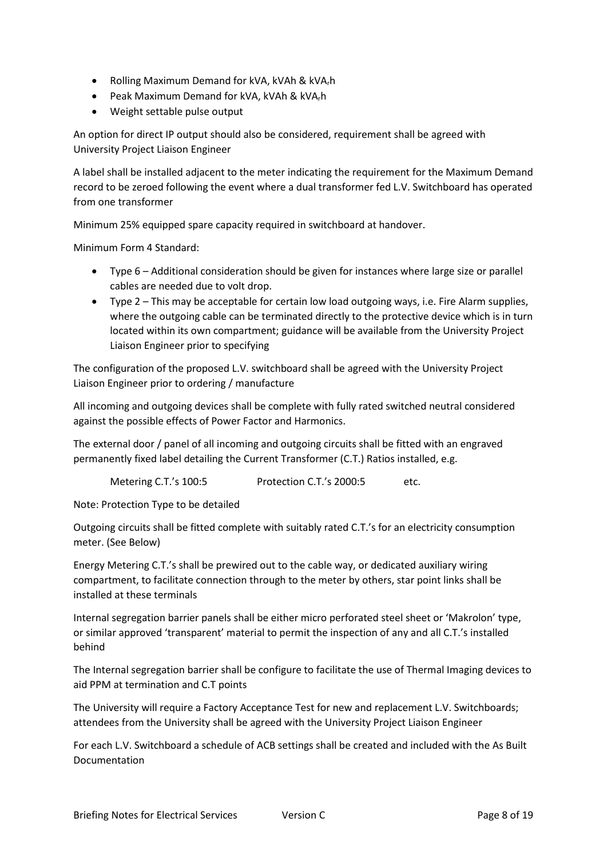- Rolling Maximum Demand for kVA, kVAh & kVArh
- Peak Maximum Demand for kVA, kVAh & kVA<sub>r</sub>h
- Weight settable pulse output

An option for direct IP output should also be considered, requirement shall be agreed with University Project Liaison Engineer

A label shall be installed adjacent to the meter indicating the requirement for the Maximum Demand record to be zeroed following the event where a dual transformer fed L.V. Switchboard has operated from one transformer

Minimum 25% equipped spare capacity required in switchboard at handover.

Minimum Form 4 Standard:

- Type 6 Additional consideration should be given for instances where large size or parallel cables are needed due to volt drop.
- Type 2 This may be acceptable for certain low load outgoing ways, i.e. Fire Alarm supplies, where the outgoing cable can be terminated directly to the protective device which is in turn located within its own compartment; guidance will be available from the University Project Liaison Engineer prior to specifying

The configuration of the proposed L.V. switchboard shall be agreed with the University Project Liaison Engineer prior to ordering / manufacture

All incoming and outgoing devices shall be complete with fully rated switched neutral considered against the possible effects of Power Factor and Harmonics.

The external door / panel of all incoming and outgoing circuits shall be fitted with an engraved permanently fixed label detailing the Current Transformer (C.T.) Ratios installed, e.g.

Metering C.T.'s 100:5 Protection C.T.'s 2000:5 etc.

Note: Protection Type to be detailed

Outgoing circuits shall be fitted complete with suitably rated C.T.'s for an electricity consumption meter. (See Below)

Energy Metering C.T.'s shall be prewired out to the cable way, or dedicated auxiliary wiring compartment, to facilitate connection through to the meter by others, star point links shall be installed at these terminals

Internal segregation barrier panels shall be either micro perforated steel sheet or 'Makrolon' type, or similar approved 'transparent' material to permit the inspection of any and all C.T.'s installed behind

The Internal segregation barrier shall be configure to facilitate the use of Thermal Imaging devices to aid PPM at termination and C.T points

The University will require a Factory Acceptance Test for new and replacement L.V. Switchboards; attendees from the University shall be agreed with the University Project Liaison Engineer

For each L.V. Switchboard a schedule of ACB settings shall be created and included with the As Built Documentation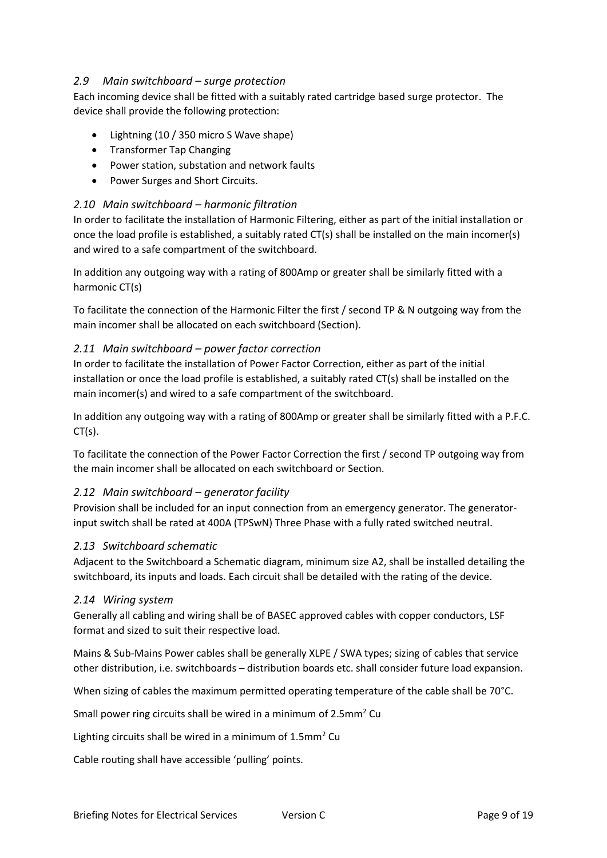#### <span id="page-8-0"></span>*2.9 Main switchboard – surge protection*

Each incoming device shall be fitted with a suitably rated cartridge based surge protector. The device shall provide the following protection:

- Lightning (10 / 350 micro S Wave shape)
- Transformer Tap Changing
- Power station, substation and network faults
- Power Surges and Short Circuits.

#### <span id="page-8-1"></span>*2.10 Main switchboard – harmonic filtration*

In order to facilitate the installation of Harmonic Filtering, either as part of the initial installation or once the load profile is established, a suitably rated CT(s) shall be installed on the main incomer(s) and wired to a safe compartment of the switchboard.

In addition any outgoing way with a rating of 800Amp or greater shall be similarly fitted with a harmonic CT(s)

To facilitate the connection of the Harmonic Filter the first / second TP & N outgoing way from the main incomer shall be allocated on each switchboard (Section).

#### <span id="page-8-2"></span>*2.11 Main switchboard – power factor correction*

In order to facilitate the installation of Power Factor Correction, either as part of the initial installation or once the load profile is established, a suitably rated CT(s) shall be installed on the main incomer(s) and wired to a safe compartment of the switchboard.

In addition any outgoing way with a rating of 800Amp or greater shall be similarly fitted with a P.F.C.  $CT(s)$ .

To facilitate the connection of the Power Factor Correction the first / second TP outgoing way from the main incomer shall be allocated on each switchboard or Section.

#### <span id="page-8-3"></span>*2.12 Main switchboard – generator facility*

Provision shall be included for an input connection from an emergency generator. The generatorinput switch shall be rated at 400A (TPSwN) Three Phase with a fully rated switched neutral.

#### <span id="page-8-4"></span>*2.13 Switchboard schematic*

Adjacent to the Switchboard a Schematic diagram, minimum size A2, shall be installed detailing the switchboard, its inputs and loads. Each circuit shall be detailed with the rating of the device.

#### <span id="page-8-5"></span>*2.14 Wiring system*

Generally all cabling and wiring shall be of BASEC approved cables with copper conductors, LSF format and sized to suit their respective load.

Mains & Sub-Mains Power cables shall be generally XLPE / SWA types; sizing of cables that service other distribution, i.e. switchboards – distribution boards etc. shall consider future load expansion.

When sizing of cables the maximum permitted operating temperature of the cable shall be 70°C.

Small power ring circuits shall be wired in a minimum of 2.5mm<sup>2</sup> Cu

Lighting circuits shall be wired in a minimum of  $1.5$ mm<sup>2</sup> Cu

Cable routing shall have accessible 'pulling' points.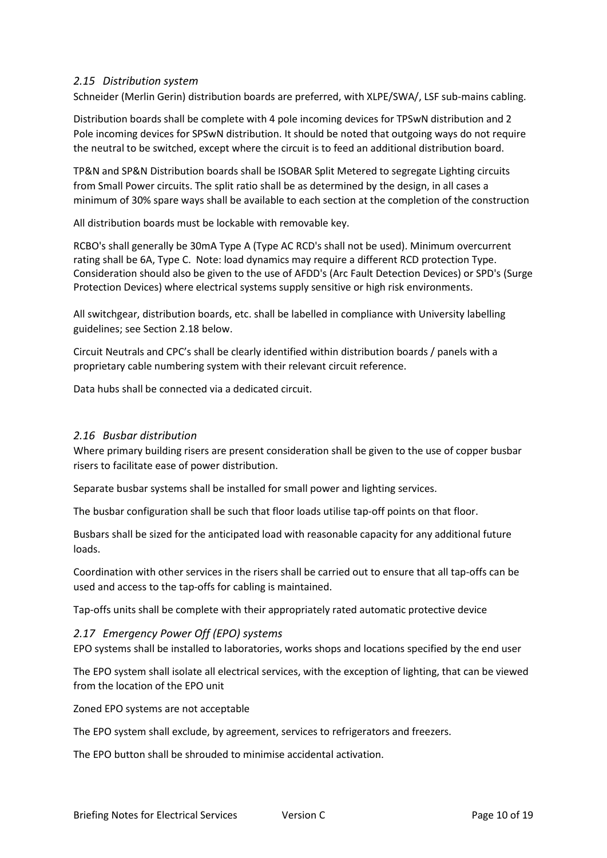#### <span id="page-9-0"></span>*2.15 Distribution system*

Schneider (Merlin Gerin) distribution boards are preferred, with XLPE/SWA/, LSF sub-mains cabling.

Distribution boards shall be complete with 4 pole incoming devices for TPSwN distribution and 2 Pole incoming devices for SPSwN distribution. It should be noted that outgoing ways do not require the neutral to be switched, except where the circuit is to feed an additional distribution board.

TP&N and SP&N Distribution boards shall be ISOBAR Split Metered to segregate Lighting circuits from Small Power circuits. The split ratio shall be as determined by the design, in all cases a minimum of 30% spare ways shall be available to each section at the completion of the construction

All distribution boards must be lockable with removable key.

RCBO's shall generally be 30mA Type A (Type AC RCD's shall not be used). Minimum overcurrent rating shall be 6A, Type C. Note: load dynamics may require a different RCD protection Type. Consideration should also be given to the use of AFDD's (Arc Fault Detection Devices) or SPD's (Surge Protection Devices) where electrical systems supply sensitive or high risk environments.

All switchgear, distribution boards, etc. shall be labelled in compliance with University labelling guidelines; see Section 2.18 below.

Circuit Neutrals and CPC's shall be clearly identified within distribution boards / panels with a proprietary cable numbering system with their relevant circuit reference.

Data hubs shall be connected via a dedicated circuit.

#### <span id="page-9-1"></span>*2.16 Busbar distribution*

Where primary building risers are present consideration shall be given to the use of copper busbar risers to facilitate ease of power distribution.

Separate busbar systems shall be installed for small power and lighting services.

The busbar configuration shall be such that floor loads utilise tap-off points on that floor.

Busbars shall be sized for the anticipated load with reasonable capacity for any additional future loads.

Coordination with other services in the risers shall be carried out to ensure that all tap-offs can be used and access to the tap-offs for cabling is maintained.

Tap-offs units shall be complete with their appropriately rated automatic protective device

#### <span id="page-9-2"></span>*2.17 Emergency Power Off (EPO) systems*

EPO systems shall be installed to laboratories, works shops and locations specified by the end user

The EPO system shall isolate all electrical services, with the exception of lighting, that can be viewed from the location of the EPO unit

Zoned EPO systems are not acceptable

The EPO system shall exclude, by agreement, services to refrigerators and freezers.

The EPO button shall be shrouded to minimise accidental activation.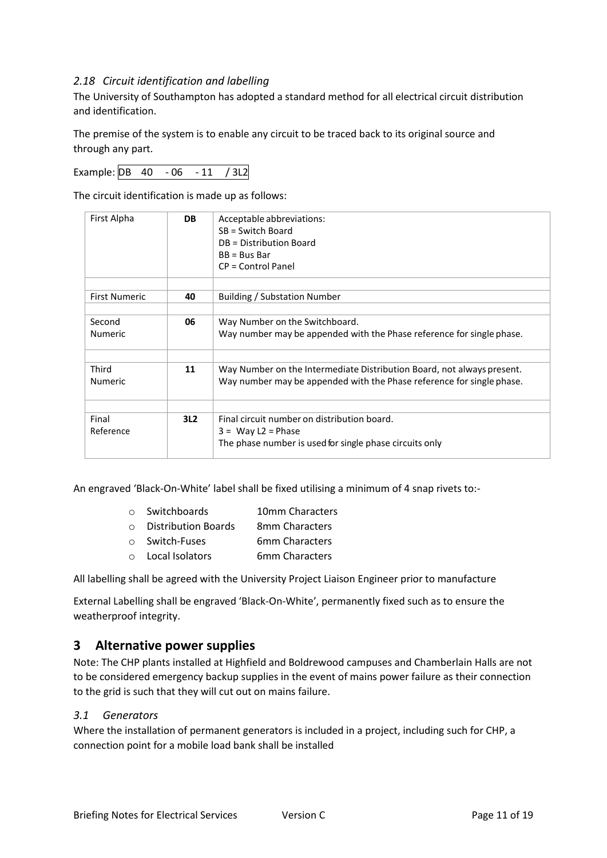#### <span id="page-10-0"></span>*2.18 Circuit identification and labelling*

The University of Southampton has adopted a standard method for all electrical circuit distribution and identification.

The premise of the system is to enable any circuit to be traced back to its original source and through any part.

Example: DB 40 - 06 - 11 / 3L2

The circuit identification is made up as follows:

| First Alpha              | DB  | Acceptable abbreviations:<br>$SB = Switch Board$<br>DB = Distribution Board<br>$BB = Bus Bar$<br>CP = Control Panel                             |
|--------------------------|-----|-------------------------------------------------------------------------------------------------------------------------------------------------|
| <b>First Numeric</b>     | 40  | <b>Building / Substation Number</b>                                                                                                             |
| Second<br><b>Numeric</b> | 06  | Way Number on the Switchboard.<br>Way number may be appended with the Phase reference for single phase.                                         |
| Third<br><b>Numeric</b>  | 11  | Way Number on the Intermediate Distribution Board, not always present.<br>Way number may be appended with the Phase reference for single phase. |
| Final<br>Reference       | 3L2 | Final circuit number on distribution board.<br>$3 = Way L2 = Phase$<br>The phase number is used for single phase circuits only                  |

An engraved 'Black-On-White' label shall be fixed utilising a minimum of 4 snap rivets to:-

| $\cap$  | Switchboards               | 10mm Characters |
|---------|----------------------------|-----------------|
| $\cap$  | <b>Distribution Boards</b> | 8mm Characters  |
| $\circ$ | Switch-Fuses               | 6mm Characters  |

o Local Isolators 6mm Characters

All labelling shall be agreed with the University Project Liaison Engineer prior to manufacture

External Labelling shall be engraved 'Black-On-White', permanently fixed such as to ensure the weatherproof integrity.

#### <span id="page-10-1"></span>**3 Alternative power supplies**

Note: The CHP plants installed at Highfield and Boldrewood campuses and Chamberlain Halls are not to be considered emergency backup supplies in the event of mains power failure as their connection to the grid is such that they will cut out on mains failure.

#### <span id="page-10-2"></span>*3.1 Generators*

Where the installation of permanent generators is included in a project, including such for CHP, a connection point for a mobile load bank shall be installed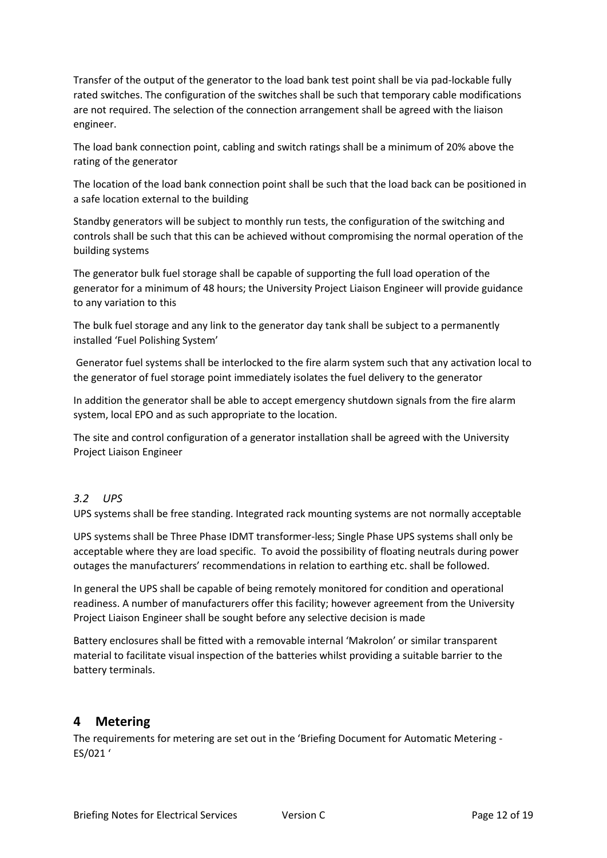Transfer of the output of the generator to the load bank test point shall be via pad-lockable fully rated switches. The configuration of the switches shall be such that temporary cable modifications are not required. The selection of the connection arrangement shall be agreed with the liaison engineer.

The load bank connection point, cabling and switch ratings shall be a minimum of 20% above the rating of the generator

The location of the load bank connection point shall be such that the load back can be positioned in a safe location external to the building

Standby generators will be subject to monthly run tests, the configuration of the switching and controls shall be such that this can be achieved without compromising the normal operation of the building systems

The generator bulk fuel storage shall be capable of supporting the full load operation of the generator for a minimum of 48 hours; the University Project Liaison Engineer will provide guidance to any variation to this

The bulk fuel storage and any link to the generator day tank shall be subject to a permanently installed 'Fuel Polishing System'

Generator fuel systems shall be interlocked to the fire alarm system such that any activation local to the generator of fuel storage point immediately isolates the fuel delivery to the generator

In addition the generator shall be able to accept emergency shutdown signals from the fire alarm system, local EPO and as such appropriate to the location.

The site and control configuration of a generator installation shall be agreed with the University Project Liaison Engineer

#### <span id="page-11-0"></span>*3.2 UPS*

UPS systems shall be free standing. Integrated rack mounting systems are not normally acceptable

UPS systems shall be Three Phase IDMT transformer-less; Single Phase UPS systems shall only be acceptable where they are load specific. To avoid the possibility of floating neutrals during power outages the manufacturers' recommendations in relation to earthing etc. shall be followed.

In general the UPS shall be capable of being remotely monitored for condition and operational readiness. A number of manufacturers offer this facility; however agreement from the University Project Liaison Engineer shall be sought before any selective decision is made

Battery enclosures shall be fitted with a removable internal 'Makrolon' or similar transparent material to facilitate visual inspection of the batteries whilst providing a suitable barrier to the battery terminals.

#### <span id="page-11-1"></span>**4 Metering**

The requirements for metering are set out in the 'Briefing Document for Automatic Metering - ES/021 '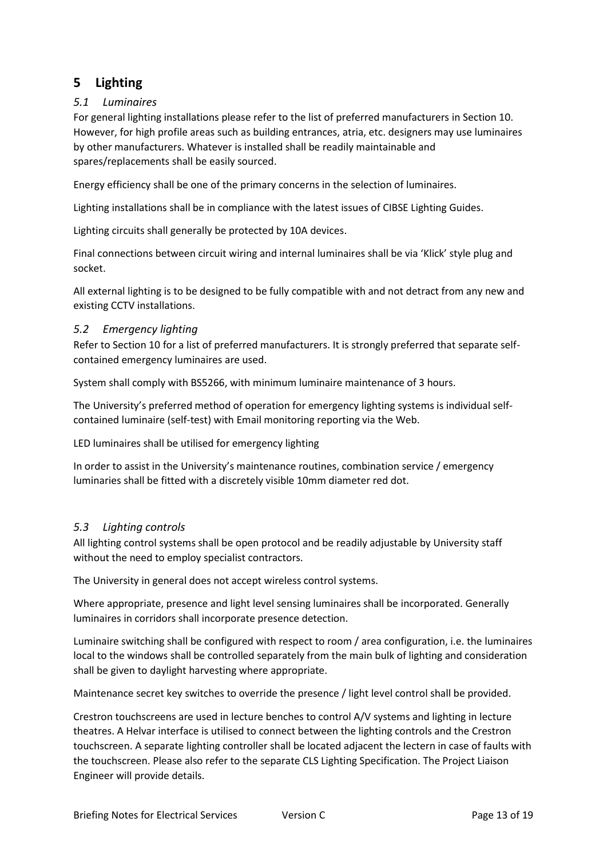# <span id="page-12-0"></span>**5 Lighting**

#### <span id="page-12-1"></span>*5.1 Luminaires*

For general lighting installations please refer to the list of preferred manufacturers in Section 10. However, for high profile areas such as building entrances, atria, etc. designers may use luminaires by other manufacturers. Whatever is installed shall be readily maintainable and spares/replacements shall be easily sourced.

Energy efficiency shall be one of the primary concerns in the selection of luminaires.

Lighting installations shall be in compliance with the latest issues of CIBSE Lighting Guides.

Lighting circuits shall generally be protected by 10A devices.

Final connections between circuit wiring and internal luminaires shall be via 'Klick' style plug and socket.

All external lighting is to be designed to be fully compatible with and not detract from any new and existing CCTV installations.

#### <span id="page-12-2"></span>*5.2 Emergency lighting*

Refer to Section 10 for a list of preferred manufacturers. It is strongly preferred that separate selfcontained emergency luminaires are used.

System shall comply with BS5266, with minimum luminaire maintenance of 3 hours.

The University's preferred method of operation for emergency lighting systems is individual selfcontained luminaire (self-test) with Email monitoring reporting via the Web.

LED luminaires shall be utilised for emergency lighting

In order to assist in the University's maintenance routines, combination service / emergency luminaries shall be fitted with a discretely visible 10mm diameter red dot.

#### <span id="page-12-3"></span>*5.3 Lighting controls*

All lighting control systems shall be open protocol and be readily adjustable by University staff without the need to employ specialist contractors.

The University in general does not accept wireless control systems.

Where appropriate, presence and light level sensing luminaires shall be incorporated. Generally luminaires in corridors shall incorporate presence detection.

Luminaire switching shall be configured with respect to room / area configuration, i.e. the luminaires local to the windows shall be controlled separately from the main bulk of lighting and consideration shall be given to daylight harvesting where appropriate.

Maintenance secret key switches to override the presence / light level control shall be provided.

Crestron touchscreens are used in lecture benches to control A/V systems and lighting in lecture theatres. A Helvar interface is utilised to connect between the lighting controls and the Crestron touchscreen. A separate lighting controller shall be located adjacent the lectern in case of faults with the touchscreen. Please also refer to the separate CLS Lighting Specification. The Project Liaison Engineer will provide details.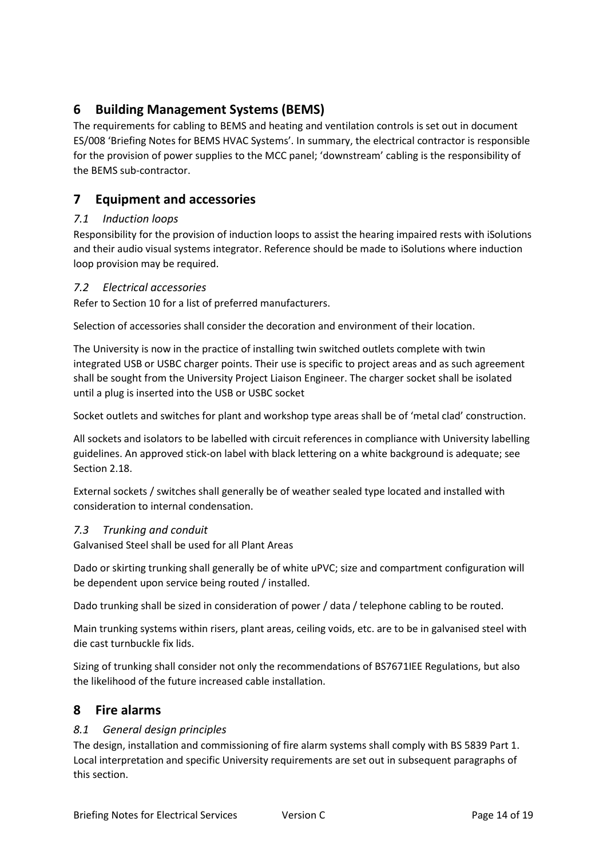# <span id="page-13-0"></span>**6 Building Management Systems (BEMS)**

The requirements for cabling to BEMS and heating and ventilation controls is set out in document ES/008 'Briefing Notes for BEMS HVAC Systems'. In summary, the electrical contractor is responsible for the provision of power supplies to the MCC panel; 'downstream' cabling is the responsibility of the BEMS sub-contractor.

# <span id="page-13-1"></span>**7 Equipment and accessories**

#### <span id="page-13-2"></span>*7.1 Induction loops*

Responsibility for the provision of induction loops to assist the hearing impaired rests with iSolutions and their audio visual systems integrator. Reference should be made to iSolutions where induction loop provision may be required.

#### <span id="page-13-3"></span>*7.2 Electrical accessories*

Refer to Section 10 for a list of preferred manufacturers.

Selection of accessories shall consider the decoration and environment of their location.

The University is now in the practice of installing twin switched outlets complete with twin integrated USB or USBC charger points. Their use is specific to project areas and as such agreement shall be sought from the University Project Liaison Engineer. The charger socket shall be isolated until a plug is inserted into the USB or USBC socket

Socket outlets and switches for plant and workshop type areas shall be of 'metal clad' construction.

All sockets and isolators to be labelled with circuit references in compliance with University labelling guidelines. An approved stick-on label with black lettering on a white background is adequate; see Section 2.18.

External sockets / switches shall generally be of weather sealed type located and installed with consideration to internal condensation.

#### <span id="page-13-4"></span>*7.3 Trunking and conduit*

Galvanised Steel shall be used for all Plant Areas

Dado or skirting trunking shall generally be of white uPVC; size and compartment configuration will be dependent upon service being routed / installed.

Dado trunking shall be sized in consideration of power / data / telephone cabling to be routed.

Main trunking systems within risers, plant areas, ceiling voids, etc. are to be in galvanised steel with die cast turnbuckle fix lids.

Sizing of trunking shall consider not only the recommendations of BS7671IEE Regulations, but also the likelihood of the future increased cable installation.

## <span id="page-13-5"></span>**8 Fire alarms**

#### <span id="page-13-6"></span>*8.1 General design principles*

The design, installation and commissioning of fire alarm systems shall comply with BS 5839 Part 1. Local interpretation and specific University requirements are set out in subsequent paragraphs of this section.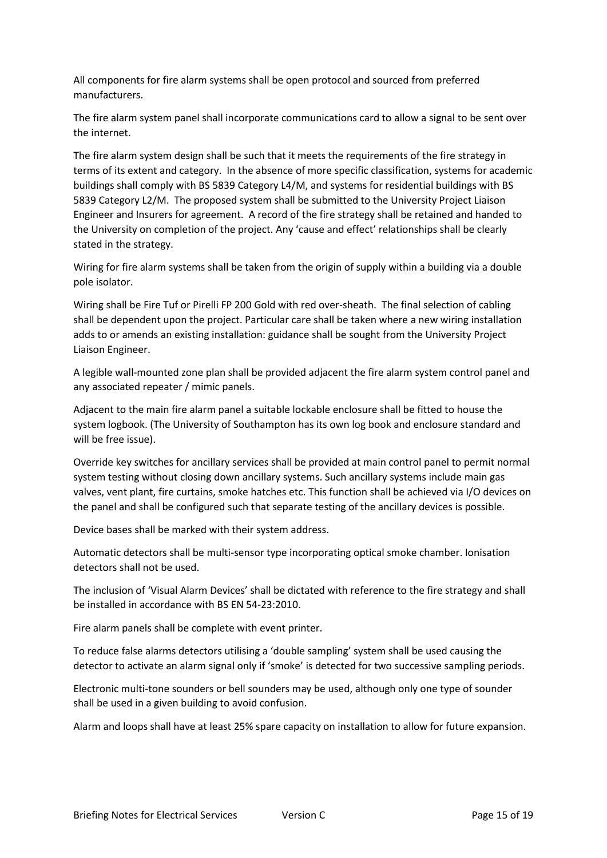All components for fire alarm systems shall be open protocol and sourced from preferred manufacturers.

The fire alarm system panel shall incorporate communications card to allow a signal to be sent over the internet.

The fire alarm system design shall be such that it meets the requirements of the fire strategy in terms of its extent and category. In the absence of more specific classification, systems for academic buildings shall comply with BS 5839 Category L4/M, and systems for residential buildings with BS 5839 Category L2/M. The proposed system shall be submitted to the University Project Liaison Engineer and Insurers for agreement. A record of the fire strategy shall be retained and handed to the University on completion of the project. Any 'cause and effect' relationships shall be clearly stated in the strategy.

Wiring for fire alarm systems shall be taken from the origin of supply within a building via a double pole isolator.

Wiring shall be Fire Tuf or Pirelli FP 200 Gold with red over-sheath. The final selection of cabling shall be dependent upon the project. Particular care shall be taken where a new wiring installation adds to or amends an existing installation: guidance shall be sought from the University Project Liaison Engineer.

A legible wall-mounted zone plan shall be provided adjacent the fire alarm system control panel and any associated repeater / mimic panels.

Adjacent to the main fire alarm panel a suitable lockable enclosure shall be fitted to house the system logbook. (The University of Southampton has its own log book and enclosure standard and will be free issue).

Override key switches for ancillary services shall be provided at main control panel to permit normal system testing without closing down ancillary systems. Such ancillary systems include main gas valves, vent plant, fire curtains, smoke hatches etc. This function shall be achieved via I/O devices on the panel and shall be configured such that separate testing of the ancillary devices is possible.

Device bases shall be marked with their system address.

Automatic detectors shall be multi-sensor type incorporating optical smoke chamber. Ionisation detectors shall not be used.

The inclusion of 'Visual Alarm Devices' shall be dictated with reference to the fire strategy and shall be installed in accordance with BS EN 54-23:2010.

Fire alarm panels shall be complete with event printer.

To reduce false alarms detectors utilising a 'double sampling' system shall be used causing the detector to activate an alarm signal only if 'smoke' is detected for two successive sampling periods.

Electronic multi-tone sounders or bell sounders may be used, although only one type of sounder shall be used in a given building to avoid confusion.

Alarm and loops shall have at least 25% spare capacity on installation to allow for future expansion.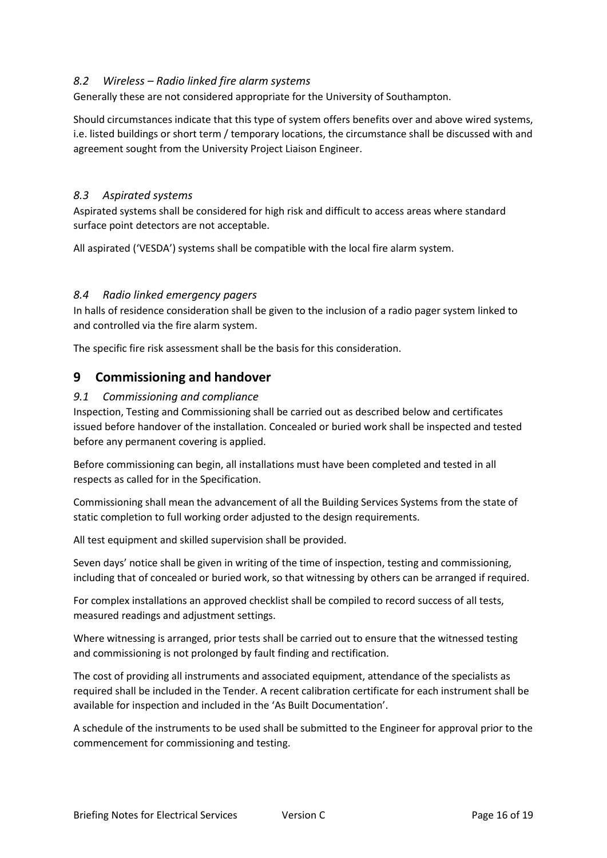#### <span id="page-15-0"></span>*8.2 Wireless – Radio linked fire alarm systems*

Generally these are not considered appropriate for the University of Southampton.

Should circumstances indicate that this type of system offers benefits over and above wired systems, i.e. listed buildings or short term / temporary locations, the circumstance shall be discussed with and agreement sought from the University Project Liaison Engineer.

#### <span id="page-15-1"></span>*8.3 Aspirated systems*

Aspirated systems shall be considered for high risk and difficult to access areas where standard surface point detectors are not acceptable.

All aspirated ('VESDA') systems shall be compatible with the local fire alarm system.

#### <span id="page-15-2"></span>*8.4 Radio linked emergency pagers*

In halls of residence consideration shall be given to the inclusion of a radio pager system linked to and controlled via the fire alarm system.

The specific fire risk assessment shall be the basis for this consideration.

#### <span id="page-15-3"></span>**9 Commissioning and handover**

#### <span id="page-15-4"></span>*9.1 Commissioning and compliance*

Inspection, Testing and Commissioning shall be carried out as described below and certificates issued before handover of the installation. Concealed or buried work shall be inspected and tested before any permanent covering is applied.

Before commissioning can begin, all installations must have been completed and tested in all respects as called for in the Specification.

Commissioning shall mean the advancement of all the Building Services Systems from the state of static completion to full working order adjusted to the design requirements.

All test equipment and skilled supervision shall be provided.

Seven days' notice shall be given in writing of the time of inspection, testing and commissioning, including that of concealed or buried work, so that witnessing by others can be arranged if required.

For complex installations an approved checklist shall be compiled to record success of all tests, measured readings and adjustment settings.

Where witnessing is arranged, prior tests shall be carried out to ensure that the witnessed testing and commissioning is not prolonged by fault finding and rectification.

The cost of providing all instruments and associated equipment, attendance of the specialists as required shall be included in the Tender. A recent calibration certificate for each instrument shall be available for inspection and included in the 'As Built Documentation'.

A schedule of the instruments to be used shall be submitted to the Engineer for approval prior to the commencement for commissioning and testing.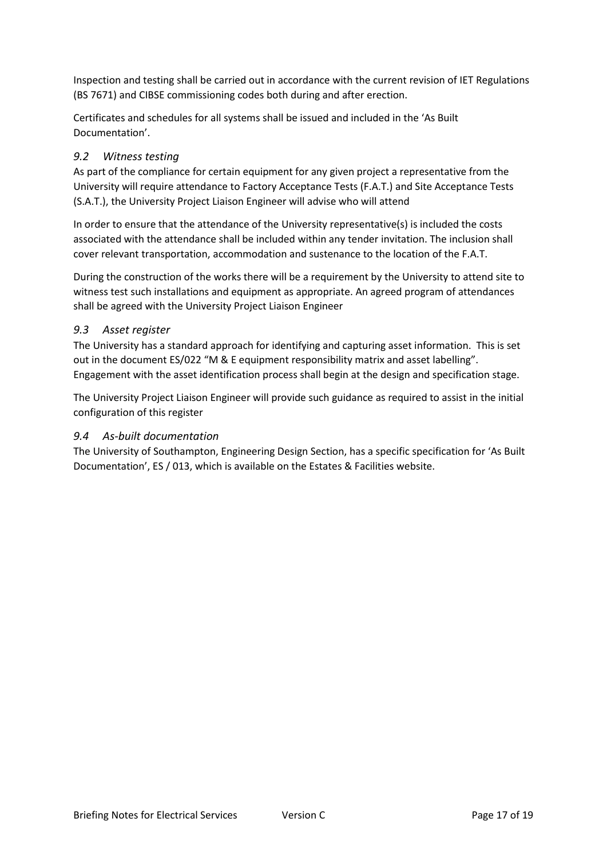Inspection and testing shall be carried out in accordance with the current revision of IET Regulations (BS 7671) and CIBSE commissioning codes both during and after erection.

Certificates and schedules for all systems shall be issued and included in the 'As Built Documentation'.

#### <span id="page-16-0"></span>*9.2 Witness testing*

As part of the compliance for certain equipment for any given project a representative from the University will require attendance to Factory Acceptance Tests (F.A.T.) and Site Acceptance Tests (S.A.T.), the University Project Liaison Engineer will advise who will attend

In order to ensure that the attendance of the University representative(s) is included the costs associated with the attendance shall be included within any tender invitation. The inclusion shall cover relevant transportation, accommodation and sustenance to the location of the F.A.T.

During the construction of the works there will be a requirement by the University to attend site to witness test such installations and equipment as appropriate. An agreed program of attendances shall be agreed with the University Project Liaison Engineer

#### <span id="page-16-1"></span>*9.3 Asset register*

The University has a standard approach for identifying and capturing asset information. This is set out in the document ES/022 "M & E equipment responsibility matrix and asset labelling". Engagement with the asset identification process shall begin at the design and specification stage.

The University Project Liaison Engineer will provide such guidance as required to assist in the initial configuration of this register

#### <span id="page-16-2"></span>*9.4 As-built documentation*

The University of Southampton, Engineering Design Section, has a specific specification for 'As Built Documentation', ES / 013, which is available on the Estates & Facilities website.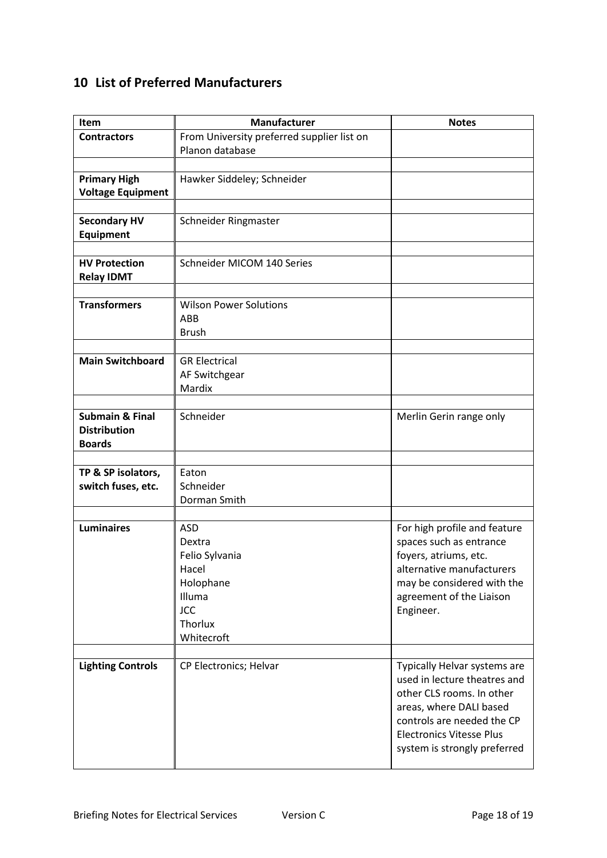# <span id="page-17-0"></span>**10 List of Preferred Manufacturers**

| Item                                    | Manufacturer                               | <b>Notes</b>                                                                              |
|-----------------------------------------|--------------------------------------------|-------------------------------------------------------------------------------------------|
| <b>Contractors</b>                      | From University preferred supplier list on |                                                                                           |
|                                         | Planon database                            |                                                                                           |
|                                         |                                            |                                                                                           |
| <b>Primary High</b>                     | Hawker Siddeley; Schneider                 |                                                                                           |
| <b>Voltage Equipment</b>                |                                            |                                                                                           |
|                                         |                                            |                                                                                           |
| <b>Secondary HV</b><br><b>Equipment</b> | Schneider Ringmaster                       |                                                                                           |
|                                         |                                            |                                                                                           |
| <b>HV Protection</b>                    | Schneider MICOM 140 Series                 |                                                                                           |
| <b>Relay IDMT</b>                       |                                            |                                                                                           |
|                                         |                                            |                                                                                           |
| <b>Transformers</b>                     | <b>Wilson Power Solutions</b>              |                                                                                           |
|                                         | ABB                                        |                                                                                           |
|                                         | <b>Brush</b>                               |                                                                                           |
|                                         |                                            |                                                                                           |
| <b>Main Switchboard</b>                 | <b>GR Electrical</b>                       |                                                                                           |
|                                         | AF Switchgear                              |                                                                                           |
|                                         | Mardix                                     |                                                                                           |
|                                         |                                            |                                                                                           |
| <b>Submain &amp; Final</b>              | Schneider                                  | Merlin Gerin range only                                                                   |
| <b>Distribution</b>                     |                                            |                                                                                           |
| <b>Boards</b>                           |                                            |                                                                                           |
| TP & SP isolators,                      | Eaton                                      |                                                                                           |
| switch fuses, etc.                      | Schneider                                  |                                                                                           |
|                                         | Dorman Smith                               |                                                                                           |
|                                         |                                            |                                                                                           |
| <b>Luminaires</b>                       | <b>ASD</b>                                 | For high profile and feature                                                              |
|                                         | Dextra                                     | spaces such as entrance                                                                   |
|                                         | Felio Sylvania                             | foyers, atriums, etc.                                                                     |
|                                         | Hacel                                      | alternative manufacturers                                                                 |
|                                         | Holophane                                  | may be considered with the                                                                |
|                                         | Illuma                                     | agreement of the Liaison                                                                  |
|                                         | <b>JCC</b>                                 | Engineer.                                                                                 |
|                                         | Thorlux                                    |                                                                                           |
|                                         | Whitecroft                                 |                                                                                           |
|                                         | CP Electronics; Helvar                     |                                                                                           |
| <b>Lighting Controls</b>                |                                            | Typically Helvar systems are<br>used in lecture theatres and<br>other CLS rooms. In other |
|                                         |                                            | areas, where DALI based<br>controls are needed the CP                                     |
|                                         |                                            | <b>Electronics Vitesse Plus</b><br>system is strongly preferred                           |
|                                         |                                            |                                                                                           |